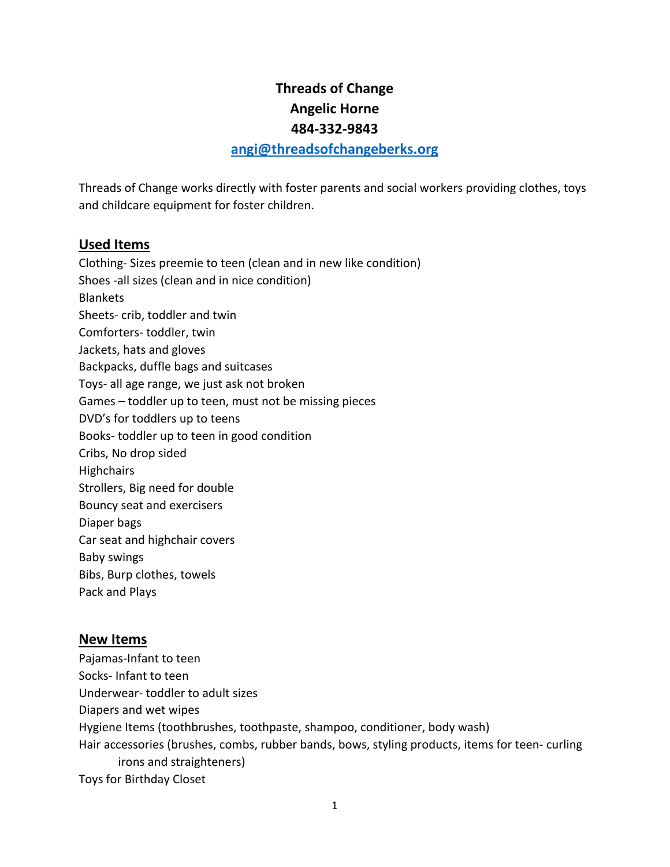## **Threads of Change Angelic Horne 484-332-9843**

## **[angi@threadsofchangeberks.org](mailto:angi@threadsofchangeberks.org)**

Threads of Change works directly with foster parents and social workers providing clothes, toys and childcare equipment for foster children.

## **Used Items**

Clothing- Sizes preemie to teen (clean and in new like condition) Shoes -all sizes (clean and in nice condition) **Blankets** Sheets- crib, toddler and twin Comforters- toddler, twin Jackets, hats and gloves Backpacks, duffle bags and suitcases Toys- all age range, we just ask not broken Games – toddler up to teen, must not be missing pieces DVD's for toddlers up to teens Books- toddler up to teen in good condition Cribs, No drop sided **Highchairs** Strollers, Big need for double Bouncy seat and exercisers Diaper bags Car seat and highchair covers Baby swings Bibs, Burp clothes, towels Pack and Plays

## **New Items**

Pajamas-Infant to teen Socks- Infant to teen Underwear- toddler to adult sizes Diapers and wet wipes Hygiene Items (toothbrushes, toothpaste, shampoo, conditioner, body wash) Hair accessories (brushes, combs, rubber bands, bows, styling products, items for teen- curling irons and straighteners) Toys for Birthday Closet